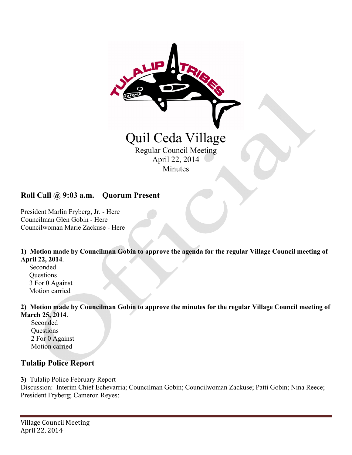

### **Roll Call @ 9:03 a.m. – Quorum Present**

President Marlin Fryberg, Jr. - Here Councilman Glen Gobin - Here Councilwoman Marie Zackuse - Here

**1) Motion made by Councilman Gobin to approve the agenda for the regular Village Council meeting of April 22, 2014**.

 Seconded **Questions**  3 For 0 Against Motion carried

**2) Motion made by Councilman Gobin to approve the minutes for the regular Village Council meeting of March 25, 2014**.

 Seconded **Questions**  2 For 0 Against Motion carried

#### **Tulalip Police Report**

**3)** Tulalip Police February Report

Discussion: Interim Chief Echevarria; Councilman Gobin; Councilwoman Zackuse; Patti Gobin; Nina Reece; President Fryberg; Cameron Reyes;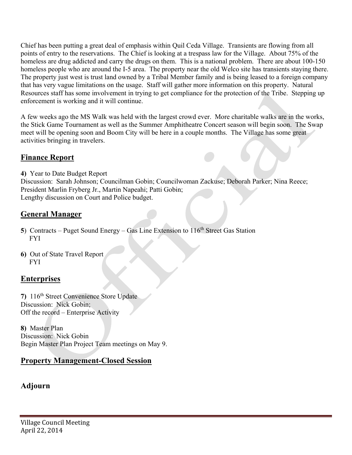Chief has been putting a great deal of emphasis within Quil Ceda Village. Transients are flowing from all points of entry to the reservations. The Chief is looking at a trespass law for the Village. About 75% of the homeless are drug addicted and carry the drugs on them. This is a national problem. There are about 100-150 homeless people who are around the I-5 area. The property near the old Welco site has transients staying there. The property just west is trust land owned by a Tribal Member family and is being leased to a foreign company that has very vague limitations on the usage. Staff will gather more information on this property. Natural Resources staff has some involvement in trying to get compliance for the protection of the Tribe. Stepping up enforcement is working and it will continue.

A few weeks ago the MS Walk was held with the largest crowd ever. More charitable walks are in the works, the Stick Game Tournament as well as the Summer Amphitheatre Concert season will begin soon. The Swap meet will be opening soon and Boom City will be here in a couple months. The Village has some great activities bringing in travelers.

### **Finance Report**

**4)** Year to Date Budget Report

Discussion: Sarah Johnson; Councilman Gobin; Councilwoman Zackuse; Deborah Parker; Nina Reece; President Marlin Fryberg Jr., Martin Napeahi; Patti Gobin; Lengthy discussion on Court and Police budget.

## **General Manager**

- **5**) Contracts Puget Sound Energy Gas Line Extension to 116<sup>th</sup> Street Gas Station FYI
- **6)** Out of State Travel Report FYI

## **Enterprises**

**7)** 116th Street Convenience Store Update Discussion: Nick Gobin; Off the record – Enterprise Activity

**8)** Master Plan Discussion: Nick Gobin Begin Master Plan Project Team meetings on May 9.

#### **Property Management-Closed Session**

# **Adjourn**